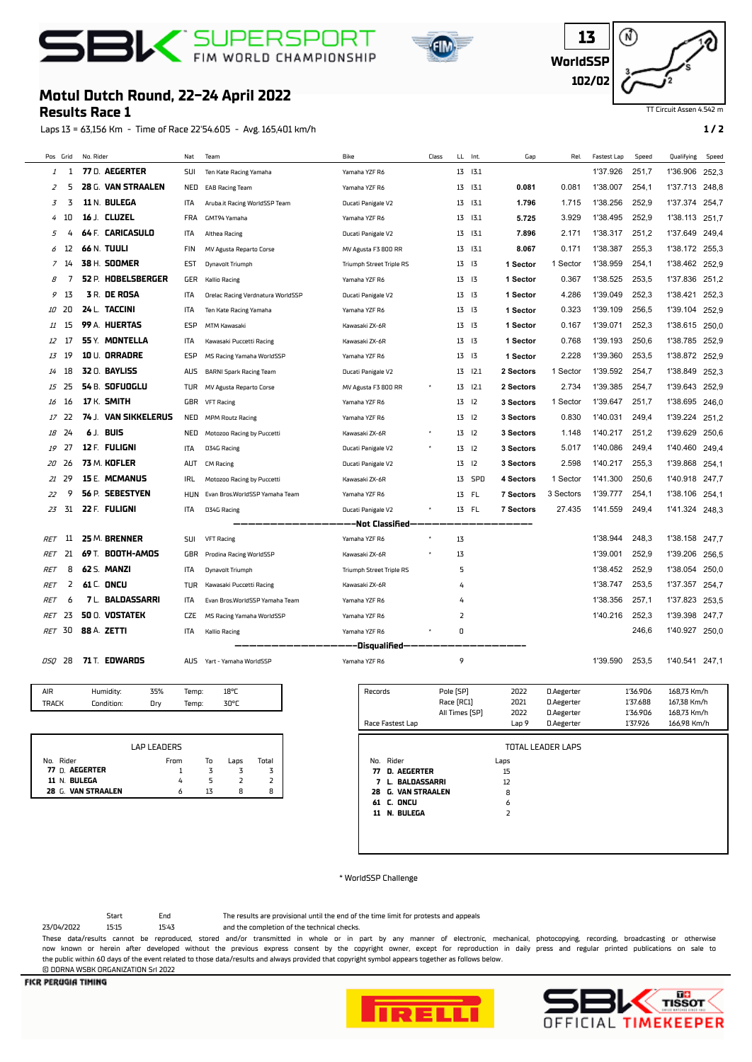





## TT Circuit Assen 4.542 m

## **Motul Dutch Round, 22-24 April 2022**

## **Results Race 1**

Laps 13 = 63,156 Km - Time of Race 22'54.605 - Avg. 165,401 km/h **1 / 2**

| Pos Grid       |    | No. Rider            | Nat        | Team                              | Bike                            | Class |                | LL Int.       | Gap              | Rel.      | <b>Fastest Lap</b> | Speed | Qualifying     | Speed |
|----------------|----|----------------------|------------|-----------------------------------|---------------------------------|-------|----------------|---------------|------------------|-----------|--------------------|-------|----------------|-------|
| 1              | 1  | 77 D. AEGERTER       | SUI        | Ten Kate Racing Yamaha            | Yamaha YZF R6                   |       |                | 13 13.1       |                  |           | 1'37.926           | 251,7 | 1'36.906       | 252,3 |
| $\overline{z}$ | 5  | 28 G. VAN STRAALEN   | NED        | <b>EAB Racing Team</b>            | Yamaha YZF R6                   |       |                | 13 13.1       | 0.081            | 0.081     | 1'38.007           | 254,1 | 1'37.713       | 248,8 |
| 3              | 3  | 11 N. BULEGA         | ITA        | Aruba.it Racing WorldSSP Team     | Ducati Panigale V2              |       |                | 13 13.1       | 1.796            | 1.715     | 1'38.256           | 252,9 | 1'37.374       | 254,7 |
| 4              | 10 | 16 J. CLUZEL         | FRA        | GMT94 Yamaha                      | Yamaha YZF R6                   |       |                | 13 13.1       | 5.725            | 3.929     | 1'38.495           | 252,9 | 1'38.113       | 251.7 |
| 5              | 4  | 64 F. CARICASULO     | ITA        | Althea Racing                     | Ducati Panigale V2              |       |                | 13 13.1       | 7.896            | 2.171     | 1'38.317           | 251,2 | 1'37.649       | 249,4 |
| 6              | 12 | 66 N. TUULI          | FIN        | MV Agusta Reparto Corse           | MV Agusta F3 800 RR             |       |                | 13 13.1       | 8.067            | 0.171     | 1'38.387           | 255,3 | 1'38.172       | 255.3 |
| 7              | 14 | 38 H. SOOMER         | EST        | Dynavolt Triumph                  | <b>Triumph Street Triple RS</b> |       |                | 13 13         | 1 Sector         | 1 Sector  | 1'38.959           | 254,1 | 1'38.462 252.9 |       |
| 8              | 7  | 52 P. HOBELSBERGER   | GER        | <b>Kallio Racing</b>              | Yamaha YZF R6                   |       |                | 13 13         | 1 Sector         | 0.367     | 1'38.525           | 253,5 | 1'37.836       | 251,2 |
| 9              | 13 | <b>3 R. DE ROSA</b>  | ITA        | Orelac Racing Verdnatura WorldSSP | Ducati Panigale V2              |       |                | 13 13         | 1 Sector         | 4.286     | 1'39.049           | 252,3 | 1'38.421       | 252,3 |
| 10             | 20 | 24 L. TACCINI        | ITA        | Ten Kate Racing Yamaha            | Yamaha YZF R6                   |       | 13 13          |               | 1 Sector         | 0.323     | 1'39.109           | 256,5 | 1'39.104       | 252,9 |
| 11             | 15 | 99 A. HUERTAS        | ESP        | MTM Kawasaki                      | Kawasaki ZX-6R                  |       |                | 13 13         | 1 Sector         | 0.167     | 1'39.071           | 252.3 | 1'38.615       | 250.0 |
| 12             | 17 | 55 Y. MONTELLA       | ITA        | Kawasaki Puccetti Racing          | Kawasaki ZX-6R                  |       |                | 13 13         | 1 Sector         | 0.768     | 1'39.193           | 250,6 | 1'38.785       | 252,9 |
| 13             | 19 | 10 U. ORRADRE        | ESP        | MS Racing Yamaha WorldSSP         | Yamaha YZF R6                   |       |                | 13 13         | 1 Sector         | 2.228     | 1'39.360           | 253,5 | 1'38.872       | 252,9 |
| 14             | 18 | <b>32 0. BAYLISS</b> | AUS        | <b>BARNI Spark Racing Team</b>    | Ducati Panigale V2              |       |                | $13$ $12.1$   | 2 Sectors        | 1 Sector  | 1'39.592           | 254,7 | 1'38.849       | 252,3 |
| 15             | 25 | 54 B. SOFUOGLU       | TUR        | MV Agusta Reparto Corse           | MV Agusta F3 800 RR             |       |                | 13 12.1       | 2 Sectors        | 2.734     | 1'39.385           | 254,7 | 1'39.643       | 252,9 |
| 16             | 16 | <b>17 K. SMITH</b>   | GBR        | <b>VFT Racing</b>                 | Yamaha YZF R6                   |       |                | $13 \quad 12$ | 3 Sectors        | 1 Sector  | 1'39.647           | 251.7 | 1'38.695       | 246.0 |
| 17             | 22 | 74 J. VAN SIKKELERUS | NED        | <b>MPM Routz Racing</b>           | Yamaha YZF R6                   |       |                | $13$ $12$     | 3 Sectors        | 0.830     | 1'40.031           | 249,4 | 1'39.224       | 251,2 |
| 18             | 24 | 6 J. BUIS            | NED        | Motozoo Racing by Puccetti        | Kawasaki ZX-6R                  |       |                | $13$ $12$     | 3 Sectors        | 1.148     | 1'40.217           | 251,2 | 1'39.629       | 250,6 |
| 19             | 27 | 12 F. FULIGNI        | ITA        | D34G Racing                       | Ducati Panigale V2              |       |                | $13 \quad 12$ | 3 Sectors        | 5.017     | 1'40.086           | 249,4 | 1'40.460       | 249,4 |
| 20             | 26 | 73 M. KOFLER         | aut        | <b>CM Racing</b>                  | Ducati Panigale V2              |       |                | 13 12         | 3 Sectors        | 2.598     | 1'40.217           | 255,3 | 1'39.868       | 254,1 |
| 21             | 29 | 15 E. MCMANUS        | IRL        | Motozoo Racing by Puccetti        | Kawasaki ZX-6R                  |       |                | 13 SPD        | <b>4 Sectors</b> | 1 Sector  | 1'41.300           | 250,6 | 1'40.918       | 247,7 |
| 22             | 9  | 56 P. SEBESTYEN      | <b>HUN</b> | Evan Bros.WorldSSP Yamaha Team    | Yamaha YZF R6                   |       |                | 13 FL         | <b>7 Sectors</b> | 3 Sectors | 1'39.777           | 254,1 | 1'38.106       | 254,1 |
| 23             | 31 | 22 F. FULIGNI        | ITA        | D34G Racing                       | Ducati Panigale V2              |       |                | 13 FL         | <b>7 Sectors</b> | 27.435    | 1'41.559           | 249,4 | 1'41.324       | 248,3 |
|                |    |                      |            |                                   | -Not Classified-                |       |                |               |                  |           |                    |       |                |       |
| RET            | 11 | 25 M. BRENNER        | SUI        | <b>VFT Racing</b>                 | Yamaha YZF R6                   |       | 13             |               |                  |           | 1'38.944           | 248,3 | 1'38.158       | 247,7 |
| RET            | 21 | 69 T. BOOTH-AMOS     | GBR        | Prodina Racing WorldSSP           | Kawasaki ZX-6R                  |       | 13             |               |                  |           | 1'39.001           | 252.9 | 1'39.206       | 256.5 |
| RET            | 8  | 62 S. MANZI          | ITA        | Dynavolt Triumph                  | <b>Triumph Street Triple RS</b> |       | 5              |               |                  |           | 1'38.452           | 252.9 | 1'38.054       | 250,0 |
| RET            | 2  | 61 C. ONCU           | TUR        | Kawasaki Puccetti Racing          | Kawasaki ZX-6R                  |       | 4              |               |                  |           | 1'38.747           | 253,5 | 1'37.357       | 254,7 |
| RET            | 6  | 7 L. BALDASSARRI     | ITA        | Evan Bros.WorldSSP Yamaha Team    | Yamaha YZF R6                   |       | 4              |               |                  |           | 1'38.356           | 257.1 | 1'37.823       | 253.5 |
| RET            | 23 | 50 O. VOSTATEK       | <b>CZE</b> | MS Racing Yamaha WorldSSP         | Yamaha YZF R6                   |       | $\overline{2}$ |               |                  |           | 1'40.216           | 252,3 | 1'39.398       | 247,7 |
| <b>RET</b>     | 30 | 88 A. ZETTI          | ITA        | <b>Kallio Racing</b>              | Yamaha YZF R6                   |       | 0              |               |                  |           |                    | 246.6 | 1'40.927 250,0 |       |
|                |    |                      |            |                                   | -Disqualified-                  |       |                |               |                  |           |                    |       |                |       |
| DSO            | 28 | 71 T. EDWARDS        | AUS        | Yart - Yamaha WorldSSP            | Yamaha YZF R6                   |       | 9              |               |                  |           | 1'39.590           | 253,5 | 1'40.541 247,1 |       |
|                |    |                      |            |                                   |                                 |       |                |               |                  |           |                    |       |                |       |

| <b>AIR</b> | Humidity:  | 35% | Temp: | $18^{\circ}$ C |
|------------|------------|-----|-------|----------------|
| TRAFK      | Condition: | Drv | Temp: | 30°C           |

|                    | LAP LEADERS |    |      |       |
|--------------------|-------------|----|------|-------|
| No. Rider          | From        | To | Laps | Total |
| 77 D. AEGERTER     |             |    |      |       |
| 11 N. BULEGA       |             |    |      |       |
| 28 G. VAN STRAALEN |             | 13 | я    | 8     |

| Records   |                   | Pole [SP]      | 2022  | D.Aegerter               | 1'36.906 | 168,73 Km/h |
|-----------|-------------------|----------------|-------|--------------------------|----------|-------------|
|           |                   | Race [RC1]     | 2021  | D.Aegerter               | 1'37.688 | 167,38 Km/h |
|           |                   | All Times [SP] | 2022  | D.Aegerter               | 1'36.906 | 168,73 Km/h |
|           | Race Fastest Lap  |                | Lap 9 | D.Aegerter               | 1'37.926 | 166.98 Km/h |
|           |                   |                |       |                          |          |             |
|           |                   |                |       | <b>TOTAL LEADER LAPS</b> |          |             |
| No. Rider |                   |                | Laps  |                          |          |             |
| 77        | D. AEGERTER       |                | 15    |                          |          |             |
| 7         | L. BALDASSARRI    |                | 12    |                          |          |             |
| 28.       | G. VAN STRAALEN   |                | 8     |                          |          |             |
|           | <b>61 C. ONCU</b> |                | 6     |                          |          |             |
| 11        | N. BULEGA         |                | 2     |                          |          |             |
|           |                   |                |       |                          |          |             |
|           |                   |                |       |                          |          |             |

\* WorldSSP Challenge

Start End The results are provisional until the end of the time limit for protests and appeals

23/04/2022 15:15 15:43 and the completion of the technical checks.

These data/results cannot be reproduced, stored and/or transmitted in whole or in part by any manner of electronic, mechanical, photocopying, recording, broadcasting or otherwise now known or herein afer developed without the previous express consent by the copyright owner, except for reproduction in daily press and regular printed publications on sale to the public within 60 days of the event related to those data/results and always provided that copyright symbol appears together as follows below. © DORNA WSBK ORGANIZATION Srl 2022